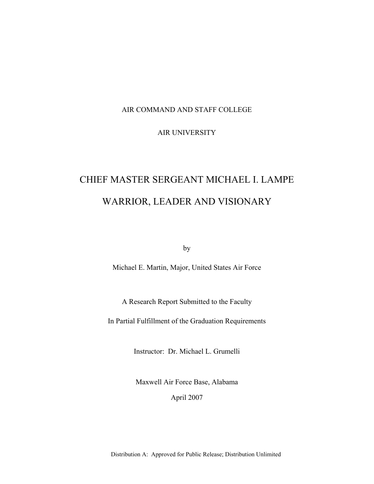#### AIR COMMAND AND STAFF COLLEGE

### AIR UNIVERSITY

# CHIEF MASTER SERGEANT MICHAEL I. LAMPE WARRIOR, LEADER AND VISIONARY

by

Michael E. Martin, Major, United States Air Force

A Research Report Submitted to the Faculty

In Partial Fulfillment of the Graduation Requirements

Instructor: Dr. Michael L. Grumelli

Maxwell Air Force Base, Alabama

April 2007

Distribution A: Approved for Public Release; Distribution Unlimited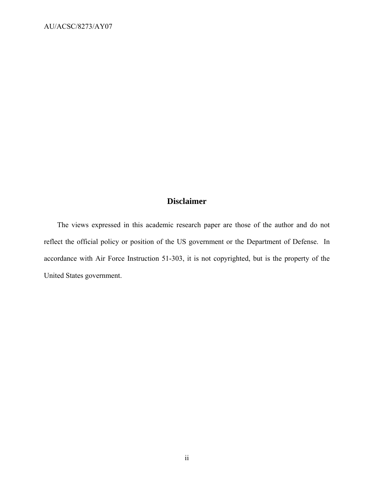# **Disclaimer**

The views expressed in this academic research paper are those of the author and do not reflect the official policy or position of the US government or the Department of Defense. In accordance with Air Force Instruction 51-303, it is not copyrighted, but is the property of the United States government.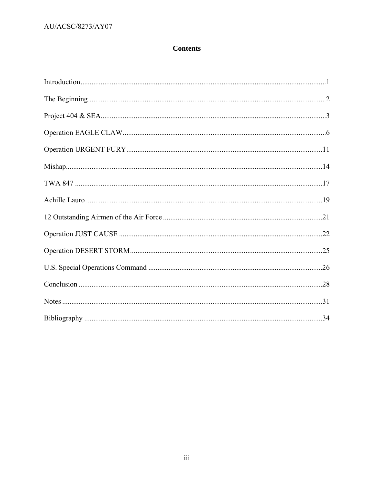## ${\rm AU/ACS C/8273/AY07}$

# **Contents**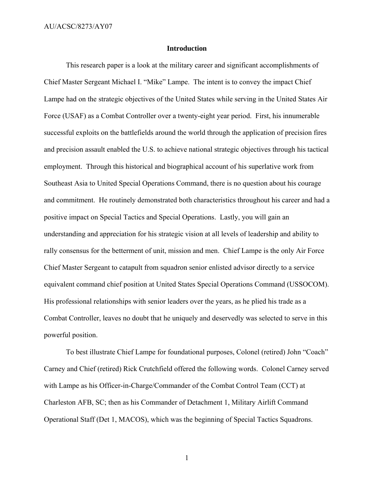#### **Introduction**

This research paper is a look at the military career and significant accomplishments of Chief Master Sergeant Michael I. "Mike" Lampe. The intent is to convey the impact Chief Lampe had on the strategic objectives of the United States while serving in the United States Air Force (USAF) as a Combat Controller over a twenty-eight year period. First, his innumerable successful exploits on the battlefields around the world through the application of precision fires and precision assault enabled the U.S. to achieve national strategic objectives through his tactical employment. Through this historical and biographical account of his superlative work from Southeast Asia to United Special Operations Command, there is no question about his courage and commitment. He routinely demonstrated both characteristics throughout his career and had a positive impact on Special Tactics and Special Operations. Lastly, you will gain an understanding and appreciation for his strategic vision at all levels of leadership and ability to rally consensus for the betterment of unit, mission and men. Chief Lampe is the only Air Force Chief Master Sergeant to catapult from squadron senior enlisted advisor directly to a service equivalent command chief position at United States Special Operations Command (USSOCOM). His professional relationships with senior leaders over the years, as he plied his trade as a Combat Controller, leaves no doubt that he uniquely and deservedly was selected to serve in this powerful position.

To best illustrate Chief Lampe for foundational purposes, Colonel (retired) John "Coach" Carney and Chief (retired) Rick Crutchfield offered the following words. Colonel Carney served with Lampe as his Officer-in-Charge/Commander of the Combat Control Team (CCT) at Charleston AFB, SC; then as his Commander of Detachment 1, Military Airlift Command Operational Staff (Det 1, MACOS), which was the beginning of Special Tactics Squadrons.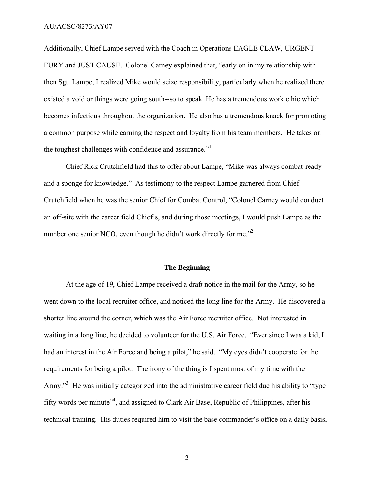Additionally, Chief Lampe served with the Coach in Operations EAGLE CLAW, URGENT FURY and JUST CAUSE. Colonel Carney explained that, "early on in my relationship with then Sgt. Lampe, I realized Mike would seize responsibility, particularly when he realized there existed a void or things were going south--so to speak. He has a tremendous work ethic which becomes infectious throughout the organization. He also has a tremendous knack for promoting a common purpose while earning the respect and loyalty from his team members. He takes on the toughest challenges with confidence and assurance."<sup>1</sup>

Chief Rick Crutchfield had this to offer about Lampe, "Mike was always combat-ready and a sponge for knowledge." As testimony to the respect Lampe garnered from Chief Crutchfield when he was the senior Chief for Combat Control, "Colonel Carney would conduct an off-site with the career field Chief's, and during those meetings, I would push Lampe as the number one senior NCO, even though he didn't work directly for me."<sup>2</sup>

#### **The Beginning**

At the age of 19, Chief Lampe received a draft notice in the mail for the Army, so he went down to the local recruiter office, and noticed the long line for the Army. He discovered a shorter line around the corner, which was the Air Force recruiter office. Not interested in waiting in a long line, he decided to volunteer for the U.S. Air Force. "Ever since I was a kid, I had an interest in the Air Force and being a pilot," he said. "My eyes didn't cooperate for the requirements for being a pilot. The irony of the thing is I spent most of my time with the Army."<sup>3</sup> He was initially categorized into the administrative career field due his ability to "type fifty words per minute<sup>34</sup>, and assigned to Clark Air Base, Republic of Philippines, after his technical training. His duties required him to visit the base commander's office on a daily basis,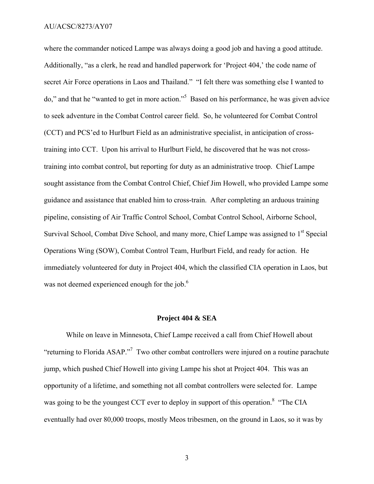where the commander noticed Lampe was always doing a good job and having a good attitude. Additionally, "as a clerk, he read and handled paperwork for 'Project 404,' the code name of secret Air Force operations in Laos and Thailand." "I felt there was something else I wanted to do," and that he "wanted to get in more action."5 Based on his performance, he was given advice to seek adventure in the Combat Control career field. So, he volunteered for Combat Control (CCT) and PCS'ed to Hurlburt Field as an administrative specialist, in anticipation of crosstraining into CCT. Upon his arrival to Hurlburt Field, he discovered that he was not crosstraining into combat control, but reporting for duty as an administrative troop. Chief Lampe sought assistance from the Combat Control Chief, Chief Jim Howell, who provided Lampe some guidance and assistance that enabled him to cross-train. After completing an arduous training pipeline, consisting of Air Traffic Control School, Combat Control School, Airborne School, Survival School, Combat Dive School, and many more, Chief Lampe was assigned to  $1<sup>st</sup>$  Special Operations Wing (SOW), Combat Control Team, Hurlburt Field, and ready for action. He immediately volunteered for duty in Project 404, which the classified CIA operation in Laos, but was not deemed experienced enough for the job.<sup>6</sup>

#### **Project 404 & SEA**

While on leave in Minnesota, Chief Lampe received a call from Chief Howell about "returning to Florida ASAP."<sup>7</sup> Two other combat controllers were injured on a routine parachute jump, which pushed Chief Howell into giving Lampe his shot at Project 404. This was an opportunity of a lifetime, and something not all combat controllers were selected for. Lampe was going to be the youngest CCT ever to deploy in support of this operation.<sup>8</sup> "The CIA" eventually had over 80,000 troops, mostly Meos tribesmen, on the ground in Laos, so it was by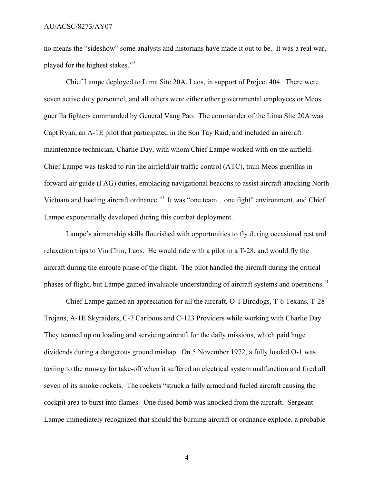no means the "sideshow" some analysts and historians have made it out to be. It was a real war, played for the highest stakes."9

Chief Lampe deployed to Lima Site 20A, Laos, in support of Project 404. There were seven active duty personnel, and all others were either other governmental employees or Meos guerilla fighters commanded by General Vang Pao. The commander of the Lima Site 20A was Capt Ryan, an A-1E pilot that participated in the Son Tay Raid, and included an aircraft maintenance technician, Charlie Day, with whom Chief Lampe worked with on the airfield. Chief Lampe was tasked to run the airfield/air traffic control (ATC), train Meos guerillas in forward air guide (FAG) duties, emplacing navigational beacons to assist aircraft attacking North Vietnam and loading aircraft ordnance.<sup>10</sup> It was "one team...one fight" environment, and Chief Lampe exponentially developed during this combat deployment.

Lampe's airmanship skills flourished with opportunities to fly during occasional rest and relaxation trips to Vin Chin, Laos. He would ride with a pilot in a T-28, and would fly the aircraft during the enroute phase of the flight. The pilot handled the aircraft during the critical phases of flight, but Lampe gained invaluable understanding of aircraft systems and operations.<sup>11</sup>

Chief Lampe gained an appreciation for all the aircraft, O-1 Birddogs, T-6 Texans, T-28 Trojans, A-1E Skyraiders, C-7 Caribous and C-123 Providers while working with Charlie Day. They teamed up on loading and servicing aircraft for the daily missions, which paid huge dividends during a dangerous ground mishap. On 5 November 1972, a fully loaded O-1 was taxiing to the runway for take-off when it suffered an electrical system malfunction and fired all seven of its smoke rockets. The rockets "struck a fully armed and fueled aircraft causing the cockpit area to burst into flames. One fused bomb was knocked from the aircraft. Sergeant Lampe immediately recognized that should the burning aircraft or ordnance explode, a probable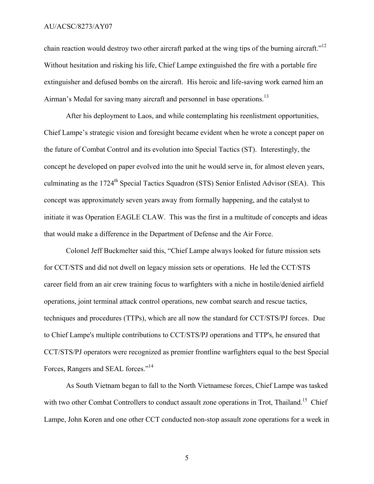chain reaction would destroy two other aircraft parked at the wing tips of the burning aircraft."<sup>12</sup> Without hesitation and risking his life, Chief Lampe extinguished the fire with a portable fire extinguisher and defused bombs on the aircraft. His heroic and life-saving work earned him an Airman's Medal for saving many aircraft and personnel in base operations.<sup>13</sup>

After his deployment to Laos, and while contemplating his reenlistment opportunities, Chief Lampe's strategic vision and foresight became evident when he wrote a concept paper on the future of Combat Control and its evolution into Special Tactics (ST). Interestingly, the concept he developed on paper evolved into the unit he would serve in, for almost eleven years, culminating as the 1724<sup>th</sup> Special Tactics Squadron (STS) Senior Enlisted Advisor (SEA). This concept was approximately seven years away from formally happening, and the catalyst to initiate it was Operation EAGLE CLAW. This was the first in a multitude of concepts and ideas that would make a difference in the Department of Defense and the Air Force.

Colonel Jeff Buckmelter said this, "Chief Lampe always looked for future mission sets for CCT/STS and did not dwell on legacy mission sets or operations. He led the CCT/STS career field from an air crew training focus to warfighters with a niche in hostile/denied airfield operations, joint terminal attack control operations, new combat search and rescue tactics, techniques and procedures (TTPs), which are all now the standard for CCT/STS/PJ forces. Due to Chief Lampe's multiple contributions to CCT/STS/PJ operations and TTP's, he ensured that CCT/STS/PJ operators were recognized as premier frontline warfighters equal to the best Special Forces, Rangers and SEAL forces."<sup>14</sup>

As South Vietnam began to fall to the North Vietnamese forces, Chief Lampe was tasked with two other Combat Controllers to conduct assault zone operations in Trot, Thailand.<sup>15</sup> Chief Lampe, John Koren and one other CCT conducted non-stop assault zone operations for a week in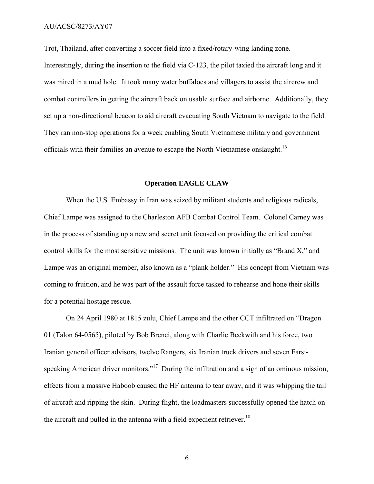Trot, Thailand, after converting a soccer field into a fixed/rotary-wing landing zone.

Interestingly, during the insertion to the field via C-123, the pilot taxied the aircraft long and it was mired in a mud hole. It took many water buffaloes and villagers to assist the aircrew and combat controllers in getting the aircraft back on usable surface and airborne. Additionally, they set up a non-directional beacon to aid aircraft evacuating South Vietnam to navigate to the field. They ran non-stop operations for a week enabling South Vietnamese military and government officials with their families an avenue to escape the North Vietnamese onslaught.16

#### **Operation EAGLE CLAW**

When the U.S. Embassy in Iran was seized by militant students and religious radicals, Chief Lampe was assigned to the Charleston AFB Combat Control Team. Colonel Carney was in the process of standing up a new and secret unit focused on providing the critical combat control skills for the most sensitive missions. The unit was known initially as "Brand X," and Lampe was an original member, also known as a "plank holder." His concept from Vietnam was coming to fruition, and he was part of the assault force tasked to rehearse and hone their skills for a potential hostage rescue.

On 24 April 1980 at 1815 zulu, Chief Lampe and the other CCT infiltrated on "Dragon 01 (Talon 64-0565), piloted by Bob Brenci, along with Charlie Beckwith and his force, two Iranian general officer advisors, twelve Rangers, six Iranian truck drivers and seven Farsispeaking American driver monitors."<sup>17</sup> During the infiltration and a sign of an ominous mission, effects from a massive Haboob caused the HF antenna to tear away, and it was whipping the tail of aircraft and ripping the skin. During flight, the loadmasters successfully opened the hatch on the aircraft and pulled in the antenna with a field expedient retriever.<sup>18</sup>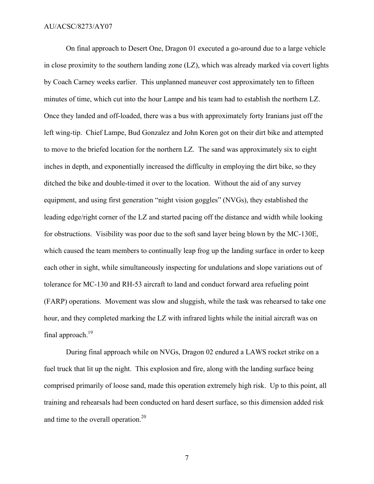On final approach to Desert One, Dragon 01 executed a go-around due to a large vehicle in close proximity to the southern landing zone (LZ), which was already marked via covert lights by Coach Carney weeks earlier. This unplanned maneuver cost approximately ten to fifteen minutes of time, which cut into the hour Lampe and his team had to establish the northern LZ. Once they landed and off-loaded, there was a bus with approximately forty Iranians just off the left wing-tip. Chief Lampe, Bud Gonzalez and John Koren got on their dirt bike and attempted to move to the briefed location for the northern LZ. The sand was approximately six to eight inches in depth, and exponentially increased the difficulty in employing the dirt bike, so they ditched the bike and double-timed it over to the location. Without the aid of any survey equipment, and using first generation "night vision goggles" (NVGs), they established the leading edge/right corner of the LZ and started pacing off the distance and width while looking for obstructions. Visibility was poor due to the soft sand layer being blown by the MC-130E, which caused the team members to continually leap frog up the landing surface in order to keep each other in sight, while simultaneously inspecting for undulations and slope variations out of tolerance for MC-130 and RH-53 aircraft to land and conduct forward area refueling point (FARP) operations. Movement was slow and sluggish, while the task was rehearsed to take one hour, and they completed marking the LZ with infrared lights while the initial aircraft was on final approach. $19$ 

During final approach while on NVGs, Dragon 02 endured a LAWS rocket strike on a fuel truck that lit up the night. This explosion and fire, along with the landing surface being comprised primarily of loose sand, made this operation extremely high risk. Up to this point, all training and rehearsals had been conducted on hard desert surface, so this dimension added risk and time to the overall operation.<sup>20</sup>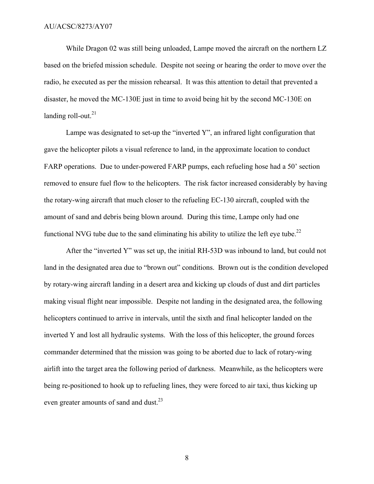While Dragon 02 was still being unloaded, Lampe moved the aircraft on the northern LZ based on the briefed mission schedule. Despite not seeing or hearing the order to move over the radio, he executed as per the mission rehearsal. It was this attention to detail that prevented a disaster, he moved the MC-130E just in time to avoid being hit by the second MC-130E on landing roll-out. $21$ 

Lampe was designated to set-up the "inverted Y", an infrared light configuration that gave the helicopter pilots a visual reference to land, in the approximate location to conduct FARP operations. Due to under-powered FARP pumps, each refueling hose had a 50' section removed to ensure fuel flow to the helicopters. The risk factor increased considerably by having the rotary-wing aircraft that much closer to the refueling EC-130 aircraft, coupled with the amount of sand and debris being blown around. During this time, Lampe only had one functional NVG tube due to the sand eliminating his ability to utilize the left eye tube.<sup>22</sup>

After the "inverted Y" was set up, the initial RH-53D was inbound to land, but could not land in the designated area due to "brown out" conditions. Brown out is the condition developed by rotary-wing aircraft landing in a desert area and kicking up clouds of dust and dirt particles making visual flight near impossible. Despite not landing in the designated area, the following helicopters continued to arrive in intervals, until the sixth and final helicopter landed on the inverted Y and lost all hydraulic systems. With the loss of this helicopter, the ground forces commander determined that the mission was going to be aborted due to lack of rotary-wing airlift into the target area the following period of darkness. Meanwhile, as the helicopters were being re-positioned to hook up to refueling lines, they were forced to air taxi, thus kicking up even greater amounts of sand and dust.<sup>23</sup>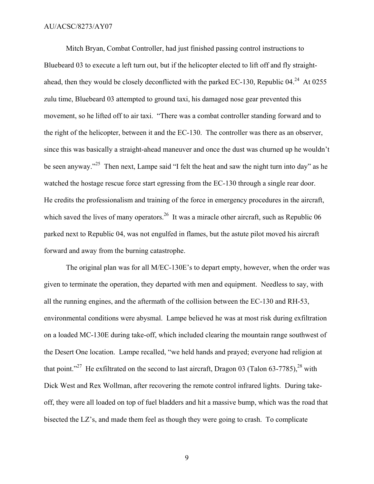Mitch Bryan, Combat Controller, had just finished passing control instructions to Bluebeard 03 to execute a left turn out, but if the helicopter elected to lift off and fly straightahead, then they would be closely deconflicted with the parked EC-130, Republic  $04.<sup>24</sup>$  At 0255 zulu time, Bluebeard 03 attempted to ground taxi, his damaged nose gear prevented this movement, so he lifted off to air taxi. "There was a combat controller standing forward and to the right of the helicopter, between it and the EC-130. The controller was there as an observer, since this was basically a straight-ahead maneuver and once the dust was churned up he wouldn't be seen anyway."<sup>25</sup> Then next, Lampe said "I felt the heat and saw the night turn into day" as he watched the hostage rescue force start egressing from the EC-130 through a single rear door. He credits the professionalism and training of the force in emergency procedures in the aircraft, which saved the lives of many operators.<sup>26</sup> It was a miracle other aircraft, such as Republic 06 parked next to Republic 04, was not engulfed in flames, but the astute pilot moved his aircraft forward and away from the burning catastrophe.

The original plan was for all M/EC-130E's to depart empty, however, when the order was given to terminate the operation, they departed with men and equipment. Needless to say, with all the running engines, and the aftermath of the collision between the EC-130 and RH-53, environmental conditions were abysmal. Lampe believed he was at most risk during exfiltration on a loaded MC-130E during take-off, which included clearing the mountain range southwest of the Desert One location. Lampe recalled, "we held hands and prayed; everyone had religion at that point."<sup>27</sup> He exfiltrated on the second to last aircraft, Dragon 03 (Talon 63-7785), <sup>28</sup> with Dick West and Rex Wollman, after recovering the remote control infrared lights. During takeoff, they were all loaded on top of fuel bladders and hit a massive bump, which was the road that bisected the LZ's, and made them feel as though they were going to crash. To complicate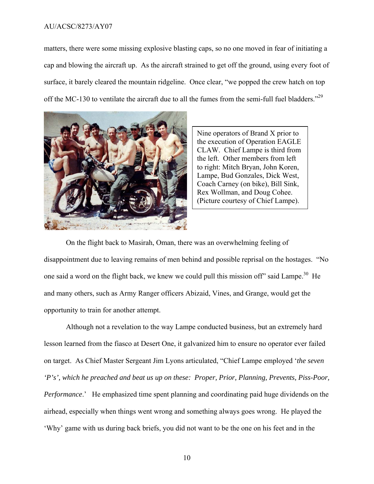matters, there were some missing explosive blasting caps, so no one moved in fear of initiating a cap and blowing the aircraft up. As the aircraft strained to get off the ground, using every foot of surface, it barely cleared the mountain ridgeline. Once clear, "we popped the crew hatch on top off the MC-130 to ventilate the aircraft due to all the fumes from the semi-full fuel bladders."<sup>29</sup>



Nine operators of Brand X prior to the execution of Operation EAGLE CLAW. Chief Lampe is third from the left. Other members from left to right: Mitch Bryan, John Koren, Lampe, Bud Gonzales, Dick West, Coach Carney (on bike), Bill Sink, Rex Wollman, and Doug Cohee. (Picture courtesy of Chief Lampe).

On the flight back to Masirah, Oman, there was an overwhelming feeling of disappointment due to leaving remains of men behind and possible reprisal on the hostages. "No one said a word on the flight back, we knew we could pull this mission off" said Lampe.<sup>30</sup> He and many others, such as Army Ranger officers Abizaid, Vines, and Grange, would get the opportunity to train for another attempt.

Although not a revelation to the way Lampe conducted business, but an extremely hard lesson learned from the fiasco at Desert One, it galvanized him to ensure no operator ever failed on target. As Chief Master Sergeant Jim Lyons articulated, "Chief Lampe employed '*the seven 'P's', which he preached and beat us up on these: Proper, Prior, Planning, Prevents, Piss-Poor, Performance*.' He emphasized time spent planning and coordinating paid huge dividends on the airhead, especially when things went wrong and something always goes wrong. He played the 'Why' game with us during back briefs, you did not want to be the one on his feet and in the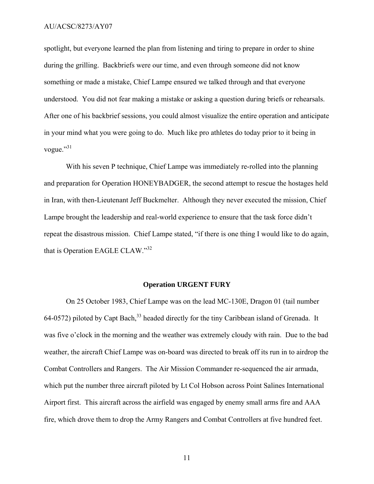spotlight, but everyone learned the plan from listening and tiring to prepare in order to shine during the grilling. Backbriefs were our time, and even through someone did not know something or made a mistake, Chief Lampe ensured we talked through and that everyone understood. You did not fear making a mistake or asking a question during briefs or rehearsals. After one of his backbrief sessions, you could almost visualize the entire operation and anticipate in your mind what you were going to do. Much like pro athletes do today prior to it being in vogue."31

With his seven P technique, Chief Lampe was immediately re-rolled into the planning and preparation for Operation HONEYBADGER, the second attempt to rescue the hostages held in Iran, with then-Lieutenant Jeff Buckmelter. Although they never executed the mission, Chief Lampe brought the leadership and real-world experience to ensure that the task force didn't repeat the disastrous mission. Chief Lampe stated, "if there is one thing I would like to do again, that is Operation EAGLE CLAW."<sup>32</sup>

#### **Operation URGENT FURY**

On 25 October 1983, Chief Lampe was on the lead MC-130E, Dragon 01 (tail number 64-0572) piloted by Capt Bach,<sup>33</sup> headed directly for the tiny Caribbean island of Grenada. It was five o'clock in the morning and the weather was extremely cloudy with rain. Due to the bad weather, the aircraft Chief Lampe was on-board was directed to break off its run in to airdrop the Combat Controllers and Rangers. The Air Mission Commander re-sequenced the air armada, which put the number three aircraft piloted by Lt Col Hobson across Point Salines International Airport first. This aircraft across the airfield was engaged by enemy small arms fire and AAA fire, which drove them to drop the Army Rangers and Combat Controllers at five hundred feet.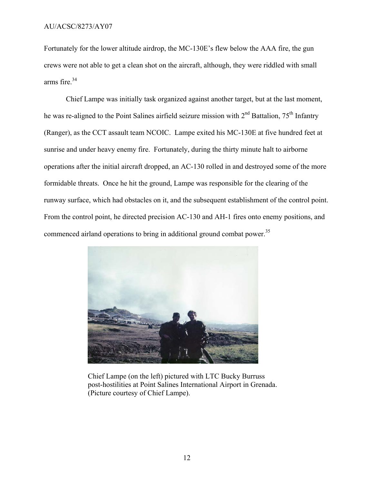Fortunately for the lower altitude airdrop, the MC-130E's flew below the AAA fire, the gun crews were not able to get a clean shot on the aircraft, although, they were riddled with small arms fire. $34$ 

Chief Lampe was initially task organized against another target, but at the last moment, he was re-aligned to the Point Salines airfield seizure mission with 2<sup>nd</sup> Battalion, 75<sup>th</sup> Infantry (Ranger), as the CCT assault team NCOIC. Lampe exited his MC-130E at five hundred feet at sunrise and under heavy enemy fire. Fortunately, during the thirty minute halt to airborne operations after the initial aircraft dropped, an AC-130 rolled in and destroyed some of the more formidable threats. Once he hit the ground, Lampe was responsible for the clearing of the runway surface, which had obstacles on it, and the subsequent establishment of the control point. From the control point, he directed precision AC-130 and AH-1 fires onto enemy positions, and commenced airland operations to bring in additional ground combat power.<sup>35</sup>



Chief Lampe (on the left) pictured with LTC Bucky Burruss post-hostilities at Point Salines International Airport in Grenada. (Picture courtesy of Chief Lampe).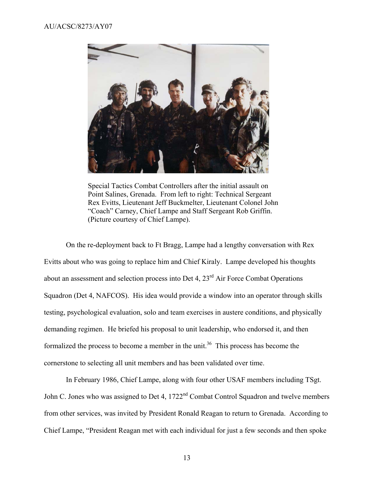

Special Tactics Combat Controllers after the initial assault on Point Salines, Grenada. From left to right: Technical Sergeant Rex Evitts, Lieutenant Jeff Buckmelter, Lieutenant Colonel John "Coach" Carney, Chief Lampe and Staff Sergeant Rob Griffin. (Picture courtesy of Chief Lampe).

On the re-deployment back to Ft Bragg, Lampe had a lengthy conversation with Rex Evitts about who was going to replace him and Chief Kiraly. Lampe developed his thoughts about an assessment and selection process into Det 4, 23<sup>rd</sup> Air Force Combat Operations Squadron (Det 4, NAFCOS). His idea would provide a window into an operator through skills testing, psychological evaluation, solo and team exercises in austere conditions, and physically demanding regimen. He briefed his proposal to unit leadership, who endorsed it, and then formalized the process to become a member in the unit.<sup>36</sup> This process has become the cornerstone to selecting all unit members and has been validated over time.

In February 1986, Chief Lampe, along with four other USAF members including TSgt. John C. Jones who was assigned to Det 4, 1722<sup>nd</sup> Combat Control Squadron and twelve members from other services, was invited by President Ronald Reagan to return to Grenada. According to Chief Lampe, "President Reagan met with each individual for just a few seconds and then spoke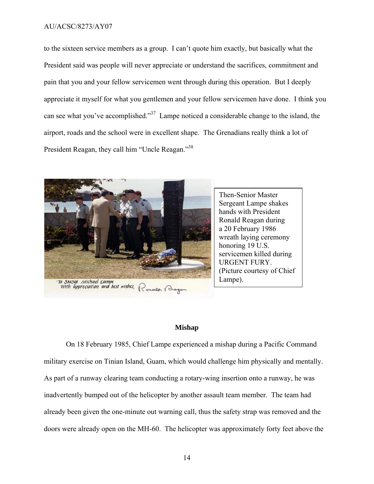to the sixteen service members as a group. I can't quote him exactly, but basically what the President said was people will never appreciate or understand the sacrifices, commitment and pain that you and your fellow servicemen went through during this operation. But I deeply appreciate it myself for what you gentlemen and your fellow servicemen have done. I think you can see what you've accomplished."37 Lampe noticed a considerable change to the island, the airport, roads and the school were in excellent shape. The Grenadians really think a lot of President Reagan, they call him "Uncle Reagan."<sup>38</sup>



Then-Senior Master Sergeant Lampe shakes hands with President Ronald Reagan during a 20 February 1986 wreath laying ceremony honoring 19 U.S. servicemen killed during URGENT FURY. (Picture courtesy of Chief Lampe).

#### **Mishap**

On 18 February 1985, Chief Lampe experienced a mishap during a Pacific Command military exercise on Tinian Island, Guam, which would challenge him physically and mentally. As part of a runway clearing team conducting a rotary-wing insertion onto a runway, he was inadvertently bumped out of the helicopter by another assault team member. The team had already been given the one-minute out warning call, thus the safety strap was removed and the doors were already open on the MH-60. The helicopter was approximately forty feet above the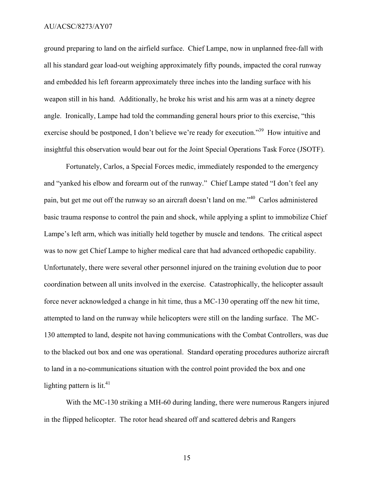ground preparing to land on the airfield surface. Chief Lampe, now in unplanned free-fall with all his standard gear load-out weighing approximately fifty pounds, impacted the coral runway and embedded his left forearm approximately three inches into the landing surface with his weapon still in his hand. Additionally, he broke his wrist and his arm was at a ninety degree angle. Ironically, Lampe had told the commanding general hours prior to this exercise, "this exercise should be postponed, I don't believe we're ready for execution."<sup>39</sup> How intuitive and insightful this observation would bear out for the Joint Special Operations Task Force (JSOTF).

Fortunately, Carlos, a Special Forces medic, immediately responded to the emergency and "yanked his elbow and forearm out of the runway." Chief Lampe stated "I don't feel any pain, but get me out off the runway so an aircraft doesn't land on me."40 Carlos administered basic trauma response to control the pain and shock, while applying a splint to immobilize Chief Lampe's left arm, which was initially held together by muscle and tendons. The critical aspect was to now get Chief Lampe to higher medical care that had advanced orthopedic capability. Unfortunately, there were several other personnel injured on the training evolution due to poor coordination between all units involved in the exercise. Catastrophically, the helicopter assault force never acknowledged a change in hit time, thus a MC-130 operating off the new hit time, attempted to land on the runway while helicopters were still on the landing surface. The MC-130 attempted to land, despite not having communications with the Combat Controllers, was due to the blacked out box and one was operational. Standard operating procedures authorize aircraft to land in a no-communications situation with the control point provided the box and one lighting pattern is  $lit^{41}$ .

With the MC-130 striking a MH-60 during landing, there were numerous Rangers injured in the flipped helicopter. The rotor head sheared off and scattered debris and Rangers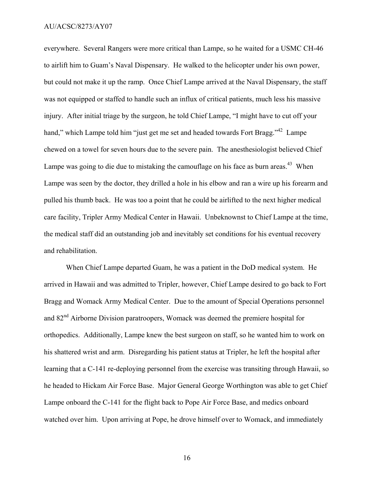everywhere. Several Rangers were more critical than Lampe, so he waited for a USMC CH-46 to airlift him to Guam's Naval Dispensary. He walked to the helicopter under his own power, but could not make it up the ramp. Once Chief Lampe arrived at the Naval Dispensary, the staff was not equipped or staffed to handle such an influx of critical patients, much less his massive injury. After initial triage by the surgeon, he told Chief Lampe, "I might have to cut off your hand," which Lampe told him "just get me set and headed towards Fort Bragg."<sup>42</sup> Lampe chewed on a towel for seven hours due to the severe pain. The anesthesiologist believed Chief Lampe was going to die due to mistaking the camouflage on his face as burn areas.<sup>43</sup> When Lampe was seen by the doctor, they drilled a hole in his elbow and ran a wire up his forearm and pulled his thumb back. He was too a point that he could be airlifted to the next higher medical care facility, Tripler Army Medical Center in Hawaii. Unbeknownst to Chief Lampe at the time, the medical staff did an outstanding job and inevitably set conditions for his eventual recovery and rehabilitation.

When Chief Lampe departed Guam, he was a patient in the DoD medical system. He arrived in Hawaii and was admitted to Tripler, however, Chief Lampe desired to go back to Fort Bragg and Womack Army Medical Center. Due to the amount of Special Operations personnel and 82nd Airborne Division paratroopers, Womack was deemed the premiere hospital for orthopedics. Additionally, Lampe knew the best surgeon on staff, so he wanted him to work on his shattered wrist and arm. Disregarding his patient status at Tripler, he left the hospital after learning that a C-141 re-deploying personnel from the exercise was transiting through Hawaii, so he headed to Hickam Air Force Base. Major General George Worthington was able to get Chief Lampe onboard the C-141 for the flight back to Pope Air Force Base, and medics onboard watched over him. Upon arriving at Pope, he drove himself over to Womack, and immediately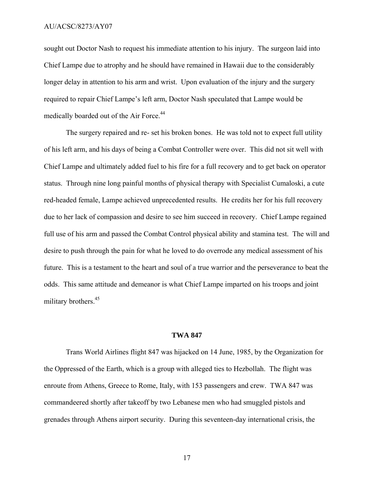sought out Doctor Nash to request his immediate attention to his injury. The surgeon laid into Chief Lampe due to atrophy and he should have remained in Hawaii due to the considerably longer delay in attention to his arm and wrist. Upon evaluation of the injury and the surgery required to repair Chief Lampe's left arm, Doctor Nash speculated that Lampe would be medically boarded out of the Air Force.<sup>44</sup>

The surgery repaired and re- set his broken bones. He was told not to expect full utility of his left arm, and his days of being a Combat Controller were over. This did not sit well with Chief Lampe and ultimately added fuel to his fire for a full recovery and to get back on operator status. Through nine long painful months of physical therapy with Specialist Cumaloski, a cute red-headed female, Lampe achieved unprecedented results. He credits her for his full recovery due to her lack of compassion and desire to see him succeed in recovery. Chief Lampe regained full use of his arm and passed the Combat Control physical ability and stamina test. The will and desire to push through the pain for what he loved to do overrode any medical assessment of his future. This is a testament to the heart and soul of a true warrior and the perseverance to beat the odds. This same attitude and demeanor is what Chief Lampe imparted on his troops and joint military brothers.<sup>45</sup>

#### **TWA 847**

Trans World Airlines flight 847 was hijacked on 14 June, 1985, by the Organization for the Oppressed of the Earth, which is a group with alleged ties to Hezbollah. The flight was enroute from Athens, Greece to Rome, Italy, with 153 passengers and crew. TWA 847 was commandeered shortly after takeoff by two Lebanese men who had smuggled pistols and grenades through Athens airport security. During this seventeen-day international crisis, the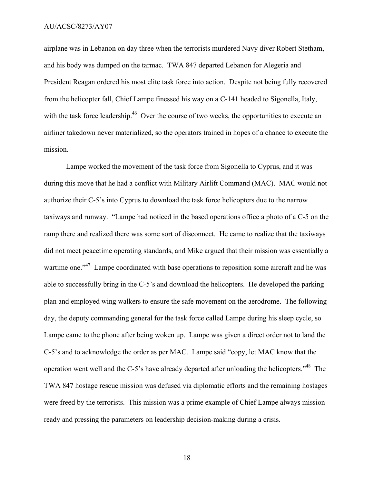airplane was in Lebanon on day three when the terrorists murdered Navy diver Robert Stetham, and his body was dumped on the tarmac. TWA 847 departed Lebanon for Alegeria and President Reagan ordered his most elite task force into action. Despite not being fully recovered from the helicopter fall, Chief Lampe finessed his way on a C-141 headed to Sigonella, Italy, with the task force leadership.<sup>46</sup> Over the course of two weeks, the opportunities to execute an airliner takedown never materialized, so the operators trained in hopes of a chance to execute the mission.

Lampe worked the movement of the task force from Sigonella to Cyprus, and it was during this move that he had a conflict with Military Airlift Command (MAC). MAC would not authorize their C-5's into Cyprus to download the task force helicopters due to the narrow taxiways and runway. "Lampe had noticed in the based operations office a photo of a C-5 on the ramp there and realized there was some sort of disconnect. He came to realize that the taxiways did not meet peacetime operating standards, and Mike argued that their mission was essentially a wartime one."<sup>47</sup> Lampe coordinated with base operations to reposition some aircraft and he was able to successfully bring in the C-5's and download the helicopters. He developed the parking plan and employed wing walkers to ensure the safe movement on the aerodrome. The following day, the deputy commanding general for the task force called Lampe during his sleep cycle, so Lampe came to the phone after being woken up. Lampe was given a direct order not to land the C-5's and to acknowledge the order as per MAC. Lampe said "copy, let MAC know that the operation went well and the C-5's have already departed after unloading the helicopters."48 The TWA 847 hostage rescue mission was defused via diplomatic efforts and the remaining hostages were freed by the terrorists. This mission was a prime example of Chief Lampe always mission ready and pressing the parameters on leadership decision-making during a crisis.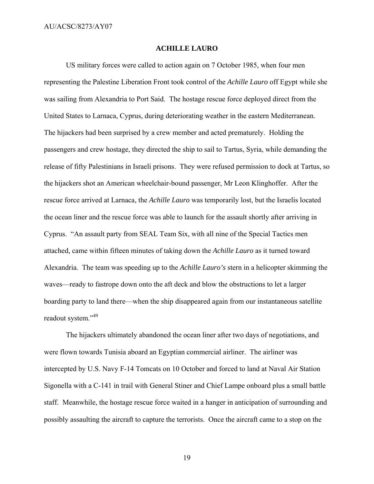#### **ACHILLE LAURO**

US military forces were called to action again on 7 October 1985, when four men representing the Palestine Liberation Front took control of the *Achille Lauro* off Egypt while she was sailing from Alexandria to Port Said. The hostage rescue force deployed direct from the United States to Larnaca, Cyprus, during deteriorating weather in the eastern Mediterranean. The hijackers had been surprised by a crew member and acted prematurely. Holding the passengers and crew hostage, they directed the ship to sail to Tartus, Syria, while demanding the release of fifty Palestinians in Israeli prisons. They were refused permission to dock at Tartus, so the hijackers shot an American wheelchair-bound passenger, Mr Leon Klinghoffer. After the rescue force arrived at Larnaca, the *Achille Lauro* was temporarily lost, but the Israelis located the ocean liner and the rescue force was able to launch for the assault shortly after arriving in Cyprus. "An assault party from SEAL Team Six, with all nine of the Special Tactics men attached, came within fifteen minutes of taking down the *Achille Lauro* as it turned toward Alexandria. The team was speeding up to the *Achille Lauro's* stern in a helicopter skimming the waves—ready to fastrope down onto the aft deck and blow the obstructions to let a larger boarding party to land there—when the ship disappeared again from our instantaneous satellite readout system."<sup>49</sup>

The hijackers ultimately abandoned the ocean liner after two days of negotiations, and were flown towards Tunisia aboard an Egyptian commercial airliner. The airliner was intercepted by U.S. Navy F-14 Tomcats on 10 October and forced to land at Naval Air Station Sigonella with a C-141 in trail with General Stiner and Chief Lampe onboard plus a small battle staff. Meanwhile, the hostage rescue force waited in a hanger in anticipation of surrounding and possibly assaulting the aircraft to capture the terrorists. Once the aircraft came to a stop on the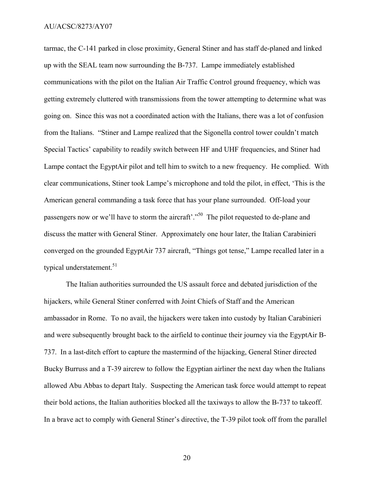tarmac, the C-141 parked in close proximity, General Stiner and has staff de-planed and linked up with the SEAL team now surrounding the B-737. Lampe immediately established communications with the pilot on the Italian Air Traffic Control ground frequency, which was getting extremely cluttered with transmissions from the tower attempting to determine what was going on. Since this was not a coordinated action with the Italians, there was a lot of confusion from the Italians. "Stiner and Lampe realized that the Sigonella control tower couldn't match Special Tactics' capability to readily switch between HF and UHF frequencies, and Stiner had Lampe contact the EgyptAir pilot and tell him to switch to a new frequency. He complied. With clear communications, Stiner took Lampe's microphone and told the pilot, in effect, 'This is the American general commanding a task force that has your plane surrounded. Off-load your passengers now or we'll have to storm the aircraft'."<sup>50</sup> The pilot requested to de-plane and discuss the matter with General Stiner. Approximately one hour later, the Italian Carabinieri converged on the grounded EgyptAir 737 aircraft, "Things got tense," Lampe recalled later in a typical understatement.<sup>51</sup>

The Italian authorities surrounded the US assault force and debated jurisdiction of the hijackers, while General Stiner conferred with Joint Chiefs of Staff and the American ambassador in Rome. To no avail, the hijackers were taken into custody by Italian Carabinieri and were subsequently brought back to the airfield to continue their journey via the EgyptAir B-737. In a last-ditch effort to capture the mastermind of the hijacking, General Stiner directed Bucky Burruss and a T-39 aircrew to follow the Egyptian airliner the next day when the Italians allowed Abu Abbas to depart Italy. Suspecting the American task force would attempt to repeat their bold actions, the Italian authorities blocked all the taxiways to allow the B-737 to takeoff. In a brave act to comply with General Stiner's directive, the T-39 pilot took off from the parallel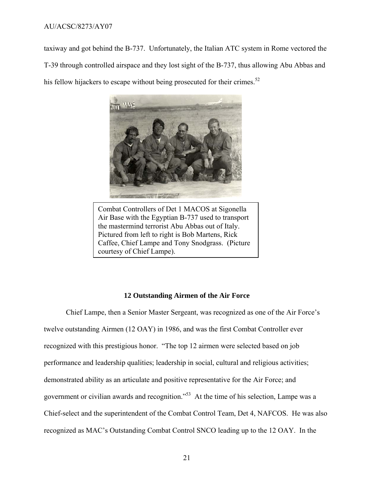taxiway and got behind the B-737. Unfortunately, the Italian ATC system in Rome vectored the T-39 through controlled airspace and they lost sight of the B-737, thus allowing Abu Abbas and his fellow hijackers to escape without being prosecuted for their crimes. $52$ 



Combat Controllers of Det 1 MACOS at Sigonella Air Base with the Egyptian B-737 used to transport the mastermind terrorist Abu Abbas out of Italy. Pictured from left to right is Bob Martens, Rick Caffee, Chief Lampe and Tony Snodgrass. (Picture courtesy of Chief Lampe).

#### **12 Outstanding Airmen of the Air Force**

Chief Lampe, then a Senior Master Sergeant, was recognized as one of the Air Force's twelve outstanding Airmen (12 OAY) in 1986, and was the first Combat Controller ever recognized with this prestigious honor. "The top 12 airmen were selected based on job performance and leadership qualities; leadership in social, cultural and religious activities; demonstrated ability as an articulate and positive representative for the Air Force; and government or civilian awards and recognition."53 At the time of his selection, Lampe was a Chief-select and the superintendent of the Combat Control Team, Det 4, NAFCOS. He was also recognized as MAC's Outstanding Combat Control SNCO leading up to the 12 OAY. In the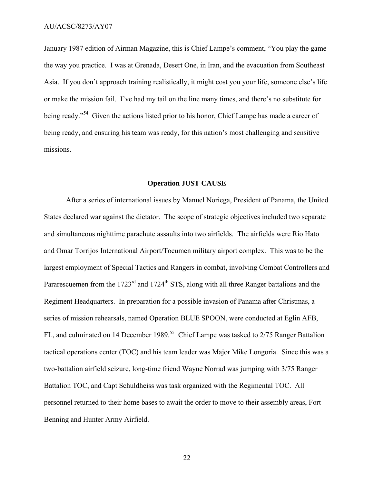January 1987 edition of Airman Magazine, this is Chief Lampe's comment, "You play the game the way you practice. I was at Grenada, Desert One, in Iran, and the evacuation from Southeast Asia. If you don't approach training realistically, it might cost you your life, someone else's life or make the mission fail. I've had my tail on the line many times, and there's no substitute for being ready."<sup>54</sup> Given the actions listed prior to his honor, Chief Lampe has made a career of being ready, and ensuring his team was ready, for this nation's most challenging and sensitive missions.

#### **Operation JUST CAUSE**

After a series of international issues by Manuel Noriega, President of Panama, the United States declared war against the dictator. The scope of strategic objectives included two separate and simultaneous nighttime parachute assaults into two airfields. The airfields were Rio Hato and Omar Torrijos International Airport/Tocumen military airport complex. This was to be the largest employment of Special Tactics and Rangers in combat, involving Combat Controllers and Pararescuemen from the 1723<sup>rd</sup> and 1724<sup>th</sup> STS, along with all three Ranger battalions and the Regiment Headquarters. In preparation for a possible invasion of Panama after Christmas, a series of mission rehearsals, named Operation BLUE SPOON, were conducted at Eglin AFB, FL, and culminated on 14 December 1989.<sup>55</sup> Chief Lampe was tasked to 2/75 Ranger Battalion tactical operations center (TOC) and his team leader was Major Mike Longoria. Since this was a two-battalion airfield seizure, long-time friend Wayne Norrad was jumping with 3/75 Ranger Battalion TOC, and Capt Schuldheiss was task organized with the Regimental TOC. All personnel returned to their home bases to await the order to move to their assembly areas, Fort Benning and Hunter Army Airfield.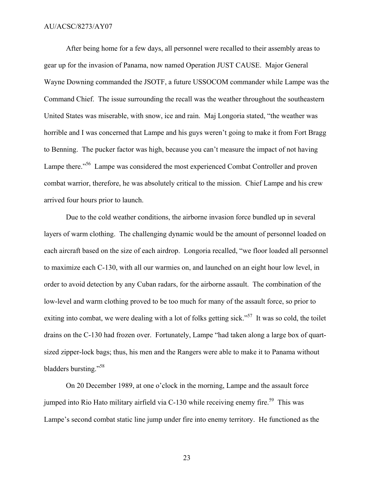After being home for a few days, all personnel were recalled to their assembly areas to gear up for the invasion of Panama, now named Operation JUST CAUSE. Major General Wayne Downing commanded the JSOTF, a future USSOCOM commander while Lampe was the Command Chief. The issue surrounding the recall was the weather throughout the southeastern United States was miserable, with snow, ice and rain. Maj Longoria stated, "the weather was horrible and I was concerned that Lampe and his guys weren't going to make it from Fort Bragg to Benning. The pucker factor was high, because you can't measure the impact of not having Lampe there."<sup>56</sup> Lampe was considered the most experienced Combat Controller and proven combat warrior, therefore, he was absolutely critical to the mission. Chief Lampe and his crew arrived four hours prior to launch.

Due to the cold weather conditions, the airborne invasion force bundled up in several layers of warm clothing. The challenging dynamic would be the amount of personnel loaded on each aircraft based on the size of each airdrop. Longoria recalled, "we floor loaded all personnel to maximize each C-130, with all our warmies on, and launched on an eight hour low level, in order to avoid detection by any Cuban radars, for the airborne assault. The combination of the low-level and warm clothing proved to be too much for many of the assault force, so prior to exiting into combat, we were dealing with a lot of folks getting sick."<sup>57</sup> It was so cold, the toilet drains on the C-130 had frozen over. Fortunately, Lampe "had taken along a large box of quartsized zipper-lock bags; thus, his men and the Rangers were able to make it to Panama without bladders bursting."<sup>58</sup>

On 20 December 1989, at one o'clock in the morning, Lampe and the assault force jumped into Rio Hato military airfield via  $C-130$  while receiving enemy fire.<sup>59</sup> This was Lampe's second combat static line jump under fire into enemy territory. He functioned as the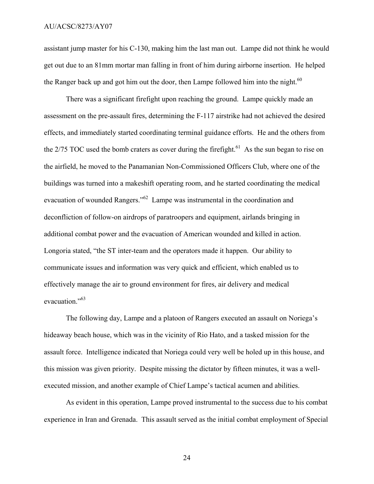assistant jump master for his C-130, making him the last man out. Lampe did not think he would get out due to an 81mm mortar man falling in front of him during airborne insertion. He helped the Ranger back up and got him out the door, then Lampe followed him into the night.<sup>60</sup>

There was a significant firefight upon reaching the ground. Lampe quickly made an assessment on the pre-assault fires, determining the F-117 airstrike had not achieved the desired effects, and immediately started coordinating terminal guidance efforts. He and the others from the  $2/75$  TOC used the bomb craters as cover during the firefight.<sup>61</sup> As the sun began to rise on the airfield, he moved to the Panamanian Non-Commissioned Officers Club, where one of the buildings was turned into a makeshift operating room, and he started coordinating the medical evacuation of wounded Rangers."62 Lampe was instrumental in the coordination and deconfliction of follow-on airdrops of paratroopers and equipment, airlands bringing in additional combat power and the evacuation of American wounded and killed in action. Longoria stated, "the ST inter-team and the operators made it happen. Our ability to communicate issues and information was very quick and efficient, which enabled us to effectively manage the air to ground environment for fires, air delivery and medical evacuation."<sup>63</sup>

The following day, Lampe and a platoon of Rangers executed an assault on Noriega's hideaway beach house, which was in the vicinity of Rio Hato, and a tasked mission for the assault force. Intelligence indicated that Noriega could very well be holed up in this house, and this mission was given priority. Despite missing the dictator by fifteen minutes, it was a wellexecuted mission, and another example of Chief Lampe's tactical acumen and abilities.

As evident in this operation, Lampe proved instrumental to the success due to his combat experience in Iran and Grenada. This assault served as the initial combat employment of Special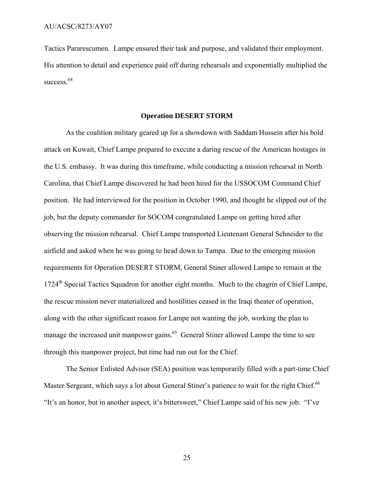Tactics Pararescumen. Lampe ensured their task and purpose, and validated their employment. His attention to detail and experience paid off during rehearsals and exponentially multiplied the success  $64$ 

#### **Operation DESERT STORM**

As the coalition military geared up for a showdown with Saddam Hussein after his bold attack on Kuwait, Chief Lampe prepared to execute a daring rescue of the American hostages in the U.S. embassy. It was during this timeframe, while conducting a mission rehearsal in North Carolina, that Chief Lampe discovered he had been hired for the USSOCOM Command Chief position. He had interviewed for the position in October 1990, and thought he slipped out of the job, but the deputy commander for SOCOM congratulated Lampe on getting hired after observing the mission rehearsal. Chief Lampe transported Lieutenant General Schneider to the airfield and asked when he was going to head down to Tampa. Due to the emerging mission requirements for Operation DESERT STORM, General Stiner allowed Lampe to remain at the 1724<sup>th</sup> Special Tactics Squadron for another eight months. Much to the chagrin of Chief Lampe, the rescue mission never materialized and hostilities ceased in the Iraqi theater of operation, along with the other significant reason for Lampe not wanting the job, working the plan to manage the increased unit manpower gains.<sup>65</sup> General Stiner allowed Lampe the time to see through this manpower project, but time had run out for the Chief.

The Senior Enlisted Advisor (SEA) position was temporarily filled with a part-time Chief Master Sergeant, which says a lot about General Stiner's patience to wait for the right Chief.<sup>66</sup> "It's an honor, but in another aspect, it's bittersweet," Chief Lampe said of his new job. "I've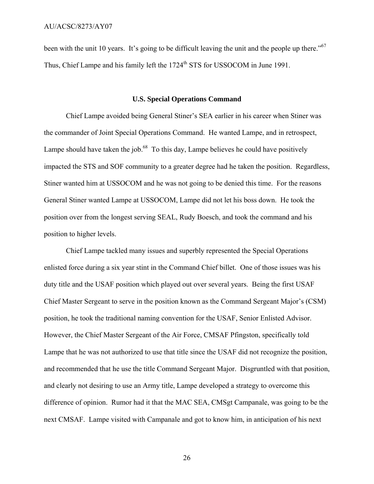been with the unit 10 years. It's going to be difficult leaving the unit and the people up there."<sup>67</sup> Thus, Chief Lampe and his family left the 1724<sup>th</sup> STS for USSOCOM in June 1991.

#### **U.S. Special Operations Command**

Chief Lampe avoided being General Stiner's SEA earlier in his career when Stiner was the commander of Joint Special Operations Command. He wanted Lampe, and in retrospect, Lampe should have taken the job. $^{68}$  To this day, Lampe believes he could have positively impacted the STS and SOF community to a greater degree had he taken the position. Regardless, Stiner wanted him at USSOCOM and he was not going to be denied this time. For the reasons General Stiner wanted Lampe at USSOCOM, Lampe did not let his boss down. He took the position over from the longest serving SEAL, Rudy Boesch, and took the command and his position to higher levels.

Chief Lampe tackled many issues and superbly represented the Special Operations enlisted force during a six year stint in the Command Chief billet. One of those issues was his duty title and the USAF position which played out over several years. Being the first USAF Chief Master Sergeant to serve in the position known as the Command Sergeant Major's (CSM) position, he took the traditional naming convention for the USAF, Senior Enlisted Advisor. However, the Chief Master Sergeant of the Air Force, CMSAF Pfingston, specifically told Lampe that he was not authorized to use that title since the USAF did not recognize the position, and recommended that he use the title Command Sergeant Major. Disgruntled with that position, and clearly not desiring to use an Army title, Lampe developed a strategy to overcome this difference of opinion. Rumor had it that the MAC SEA, CMSgt Campanale, was going to be the next CMSAF. Lampe visited with Campanale and got to know him, in anticipation of his next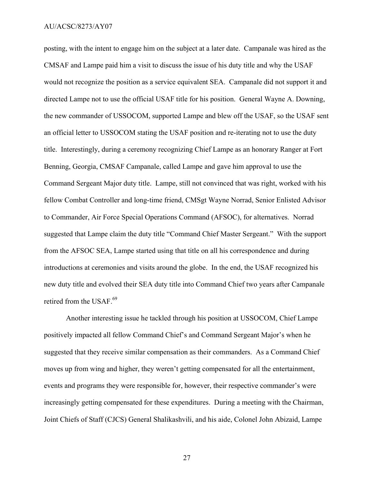posting, with the intent to engage him on the subject at a later date. Campanale was hired as the CMSAF and Lampe paid him a visit to discuss the issue of his duty title and why the USAF would not recognize the position as a service equivalent SEA. Campanale did not support it and directed Lampe not to use the official USAF title for his position. General Wayne A. Downing, the new commander of USSOCOM, supported Lampe and blew off the USAF, so the USAF sent an official letter to USSOCOM stating the USAF position and re-iterating not to use the duty title. Interestingly, during a ceremony recognizing Chief Lampe as an honorary Ranger at Fort Benning, Georgia, CMSAF Campanale, called Lampe and gave him approval to use the Command Sergeant Major duty title. Lampe, still not convinced that was right, worked with his fellow Combat Controller and long-time friend, CMSgt Wayne Norrad, Senior Enlisted Advisor to Commander, Air Force Special Operations Command (AFSOC), for alternatives. Norrad suggested that Lampe claim the duty title "Command Chief Master Sergeant." With the support from the AFSOC SEA, Lampe started using that title on all his correspondence and during introductions at ceremonies and visits around the globe. In the end, the USAF recognized his new duty title and evolved their SEA duty title into Command Chief two years after Campanale retired from the USAF.<sup>69</sup>

Another interesting issue he tackled through his position at USSOCOM, Chief Lampe positively impacted all fellow Command Chief's and Command Sergeant Major's when he suggested that they receive similar compensation as their commanders. As a Command Chief moves up from wing and higher, they weren't getting compensated for all the entertainment, events and programs they were responsible for, however, their respective commander's were increasingly getting compensated for these expenditures. During a meeting with the Chairman, Joint Chiefs of Staff (CJCS) General Shalikashvili, and his aide, Colonel John Abizaid, Lampe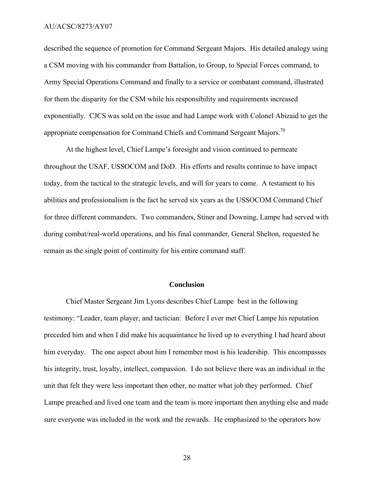described the sequence of promotion for Command Sergeant Majors. His detailed analogy using a CSM moving with his commander from Battalion, to Group, to Special Forces command, to Army Special Operations Command and finally to a service or combatant command, illustrated for them the disparity for the CSM while his responsibility and requirements increased exponentially. CJCS was sold on the issue and had Lampe work with Colonel Abizaid to get the appropriate compensation for Command Chiefs and Command Sergeant Majors.<sup>70</sup>

At the highest level, Chief Lampe's foresight and vision continued to permeate throughout the USAF, USSOCOM and DoD. His efforts and results continue to have impact today, from the tactical to the strategic levels, and will for years to come. A testament to his abilities and professionalism is the fact he served six years as the USSOCOM Command Chief for three different commanders. Two commanders, Stiner and Downing, Lampe had served with during combat/real-world operations, and his final commander, General Shelton, requested he remain as the single point of continuity for his entire command staff.

#### **Conclusion**

Chief Master Sergeant Jim Lyons describes Chief Lampe best in the following testimony: "Leader, team player, and tactician: Before I ever met Chief Lampe his reputation preceded him and when I did make his acquaintance he lived up to everything I had heard about him everyday. The one aspect about him I remember most is his leadership. This encompasses his integrity, trust, loyalty, intellect, compassion. I do not believe there was an individual in the unit that felt they were less important then other, no matter what job they performed. Chief Lampe preached and lived one team and the team is more important then anything else and made sure everyone was included in the work and the rewards. He emphasized to the operators how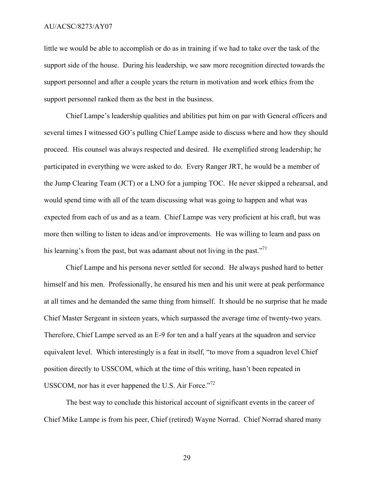little we would be able to accomplish or do as in training if we had to take over the task of the support side of the house. During his leadership, we saw more recognition directed towards the support personnel and after a couple years the return in motivation and work ethics from the support personnel ranked them as the best in the business.

Chief Lampe's leadership qualities and abilities put him on par with General officers and several times I witnessed GO's pulling Chief Lampe aside to discuss where and how they should proceed. His counsel was always respected and desired. He exemplified strong leadership; he participated in everything we were asked to do. Every Ranger JRT, he would be a member of the Jump Clearing Team (JCT) or a LNO for a jumping TOC. He never skipped a rehearsal, and would spend time with all of the team discussing what was going to happen and what was expected from each of us and as a team. Chief Lampe was very proficient at his craft, but was more then willing to listen to ideas and/or improvements. He was willing to learn and pass on his learning's from the past, but was adamant about not living in the past."<sup>71</sup>

Chief Lampe and his persona never settled for second. He always pushed hard to better himself and his men. Professionally, he ensured his men and his unit were at peak performance at all times and he demanded the same thing from himself. It should be no surprise that he made Chief Master Sergeant in sixteen years, which surpassed the average time of twenty-two years. Therefore, Chief Lampe served as an E-9 for ten and a half years at the squadron and service equivalent level. Which interestingly is a feat in itself, "to move from a squadron level Chief position directly to USSCOM, which at the time of this writing, hasn't been repeated in USSCOM, nor has it ever happened the U.S. Air Force."<sup>72</sup>

The best way to conclude this historical account of significant events in the career of Chief Mike Lampe is from his peer, Chief (retired) Wayne Norrad. Chief Norrad shared many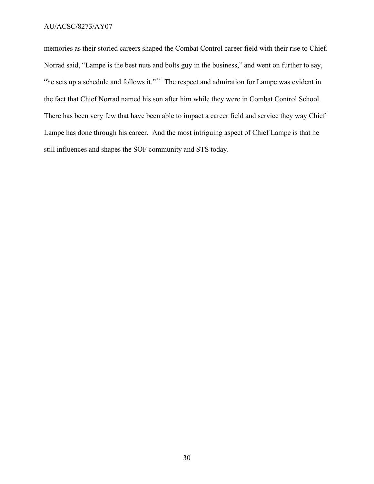memories as their storied careers shaped the Combat Control career field with their rise to Chief. Norrad said, "Lampe is the best nuts and bolts guy in the business," and went on further to say, "he sets up a schedule and follows it."<sup>73</sup> The respect and admiration for Lampe was evident in the fact that Chief Norrad named his son after him while they were in Combat Control School. There has been very few that have been able to impact a career field and service they way Chief Lampe has done through his career. And the most intriguing aspect of Chief Lampe is that he still influences and shapes the SOF community and STS today.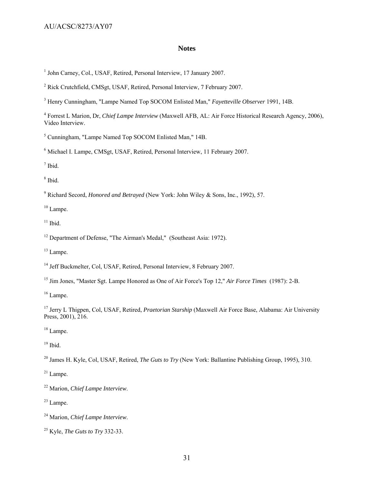#### **Notes**

<sup>1</sup> John Carney, Col., USAF, Retired, Personal Interview, 17 January 2007.

<sup>2</sup> Rick Crutchfield, CMSgt, USAF, Retired, Personal Interview, 7 February 2007.

3 Henry Cunningham, "Lampe Named Top SOCOM Enlisted Man," *Fayetteville Observer* 1991, 14B.

4 Forrest L Marion, Dr, *Chief Lampe Interview* (Maxwell AFB, AL: Air Force Historical Research Agency, 2006), Video Interview.

<sup>5</sup> Cunningham, "Lampe Named Top SOCOM Enlisted Man," 14B.

<sup>6</sup> Michael I. Lampe, CMSgt, USAF, Retired, Personal Interview, 11 February 2007.

7 Ibid.

8 Ibid.

9 Richard Secord, *Honored and Betrayed* (New York: John Wiley & Sons, Inc., 1992), 57.

<sup>10</sup> Lampe.

 $11$  Ibid.

 $12$  Department of Defense, "The Airman's Medal," (Southeast Asia: 1972).

<sup>13</sup> Lampe.

<sup>14</sup> Jeff Buckmelter, Col, USAF, Retired, Personal Interview, 8 February 2007.

15 Jim Jones, "Master Sgt. Lampe Honored as One of Air Force's Top 12," *Air Force Times* (1987): 2-B.

<sup>16</sup> Lampe.

17 Jerry L Thigpen, Col, USAF, Retired, *Praetorian Starship* (Maxwell Air Force Base, Alabama: Air University Press, 2001), 216.

<sup>18</sup> Lampe.

 $19$  Ibid.

<sup>20</sup> James H. Kyle, Col, USAF, Retired, *The Guts to Try* (New York: Ballantine Publishing Group, 1995), 310.

 $21$  Lampe.

22 Marion, *Chief Lampe Interview*.

 $23$  Lampe.

<sup>24</sup> Marion, *Chief Lampe Interview*.

<sup>25</sup> Kyle, *The Guts to Try* 332-33.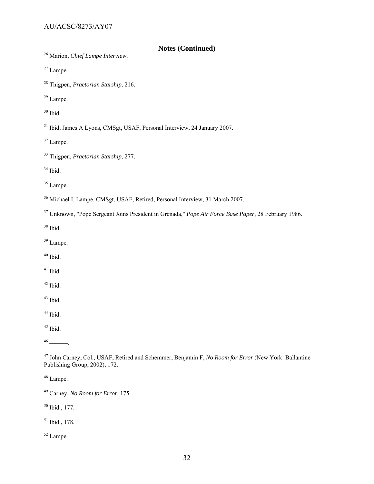- **Notes (Continued)** 26 Marion, *Chief Lampe Interview*.
- 27 Lampe.
- 28 Thigpen, *Praetorian Starship*, 216.
- 29 Lampe.
- $30$  Ibid.
- <sup>31</sup> Ibid, James A Lyons, CMSgt, USAF, Personal Interview, 24 January 2007.
- 32 Lampe.
- 33 Thigpen, *Praetorian Starship*, 277.
- 34 Ibid.
- <sup>35</sup> Lampe.
- 36 Michael I. Lampe, CMSgt, USAF, Retired, Personal Interview, 31 March 2007.
- 37 Unknown, "Pope Sergeant Joins President in Grenada," *Pope Air Force Base Paper*, 28 February 1986.
- 38 Ibid.
- 39 Lampe.
- $40$  Ibid.
- $41$  Ibid.
- $42$  Ibid.
- $43$  Ibid.
- $^{44}$  Ibid.
- $45$  Ibid.

 $46$  ——

- 47 John Carney, Col., USAF, Retired and Schemmer, Benjamin F, *No Room for Error* (New York: Ballantine Publishing Group, 2002), 172.
- 48 Lampe.
- 49 Carney, *No Room for Error*, 175.
- 50 Ibid., 177.
- 51 Ibid., 178.
- 52 Lampe.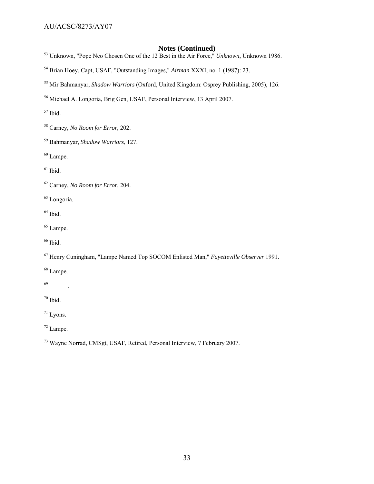- **Notes (Continued)** 53 Unknown, "Pope Nco Chosen One of the 12 Best in the Air Force," *Unknown*, Unknown 1986.
- 54 Brian Hoey, Capt, USAF, "Outstanding Images," *Airman* XXXI, no. 1 (1987): 23.
- 55 Mir Bahmanyar, *Shadow Warriors* (Oxford, United Kingdom: Osprey Publishing, 2005), 126.
- 56 Michael A. Longoria, Brig Gen, USAF, Personal Interview, 13 April 2007.

 $57$  Ibid.

- 58 Carney, *No Room for Error*, 202.
- 59 Bahmanyar, *Shadow Warriors*, 127.

 $60$  Lampe.

 $61$  Ibid.

62 Carney, *No Room for Error*, 204.

63 Longoria.

 $<sup>64</sup>$  Ibid.</sup>

- 65 Lampe.
- <sup>66</sup> Ibid.
- 67 Henry Cuningham, "Lampe Named Top SOCOM Enlisted Man," *Fayetteville Observer* 1991.
- 68 Lampe.

 $69$  ———.

 $70$  Ibid.

71 Lyons.

72 Lampe.

73 Wayne Norrad, CMSgt, USAF, Retired, Personal Interview, 7 February 2007.